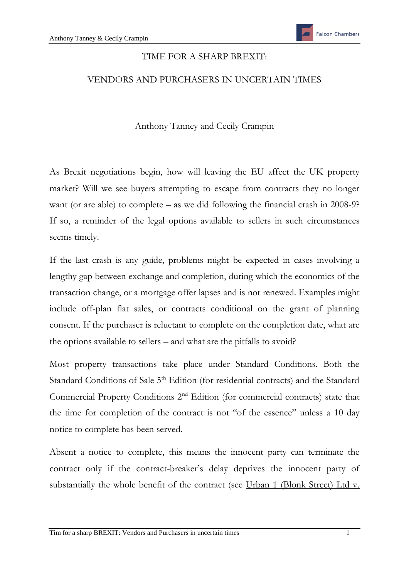## TIME FOR A SHARP BREXIT:

## VENDORS AND PURCHASERS IN UNCERTAIN TIMES

Anthony Tanney and Cecily Crampin

As Brexit negotiations begin, how will leaving the EU affect the UK property market? Will we see buyers attempting to escape from contracts they no longer want (or are able) to complete – as we did following the financial crash in 2008-9? If so, a reminder of the legal options available to sellers in such circumstances seems timely.

If the last crash is any guide, problems might be expected in cases involving a lengthy gap between exchange and completion, during which the economics of the transaction change, or a mortgage offer lapses and is not renewed. Examples might include off-plan flat sales, or contracts conditional on the grant of planning consent. If the purchaser is reluctant to complete on the completion date, what are the options available to sellers – and what are the pitfalls to avoid?

Most property transactions take place under Standard Conditions. Both the Standard Conditions of Sale 5<sup>th</sup> Edition (for residential contracts) and the Standard Commercial Property Conditions  $2<sup>nd</sup>$  Edition (for commercial contracts) state that the time for completion of the contract is not "of the essence" unless a 10 day notice to complete has been served.

Absent a notice to complete, this means the innocent party can terminate the contract only if the contract-breaker's delay deprives the innocent party of substantially the whole benefit of the contract (see Urban 1 (Blonk Street) Ltd v.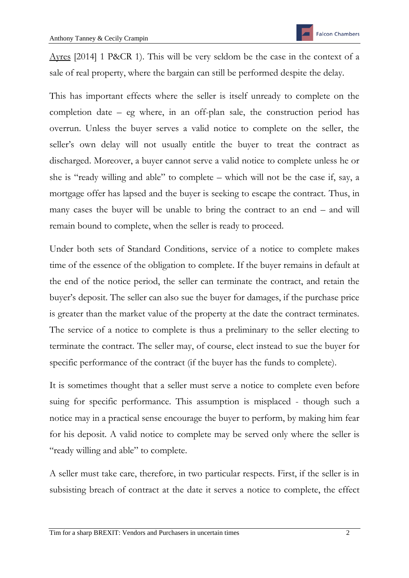Ayres [2014] 1 P&CR 1). This will be very seldom be the case in the context of a sale of real property, where the bargain can still be performed despite the delay.

This has important effects where the seller is itself unready to complete on the completion date – eg where, in an off-plan sale, the construction period has overrun. Unless the buyer serves a valid notice to complete on the seller, the seller's own delay will not usually entitle the buyer to treat the contract as discharged. Moreover, a buyer cannot serve a valid notice to complete unless he or she is "ready willing and able" to complete – which will not be the case if, say, a mortgage offer has lapsed and the buyer is seeking to escape the contract. Thus, in many cases the buyer will be unable to bring the contract to an end – and will remain bound to complete, when the seller is ready to proceed.

Under both sets of Standard Conditions, service of a notice to complete makes time of the essence of the obligation to complete. If the buyer remains in default at the end of the notice period, the seller can terminate the contract, and retain the buyer's deposit. The seller can also sue the buyer for damages, if the purchase price is greater than the market value of the property at the date the contract terminates. The service of a notice to complete is thus a preliminary to the seller electing to terminate the contract. The seller may, of course, elect instead to sue the buyer for specific performance of the contract (if the buyer has the funds to complete).

It is sometimes thought that a seller must serve a notice to complete even before suing for specific performance. This assumption is misplaced - though such a notice may in a practical sense encourage the buyer to perform, by making him fear for his deposit. A valid notice to complete may be served only where the seller is "ready willing and able" to complete.

A seller must take care, therefore, in two particular respects. First, if the seller is in subsisting breach of contract at the date it serves a notice to complete, the effect